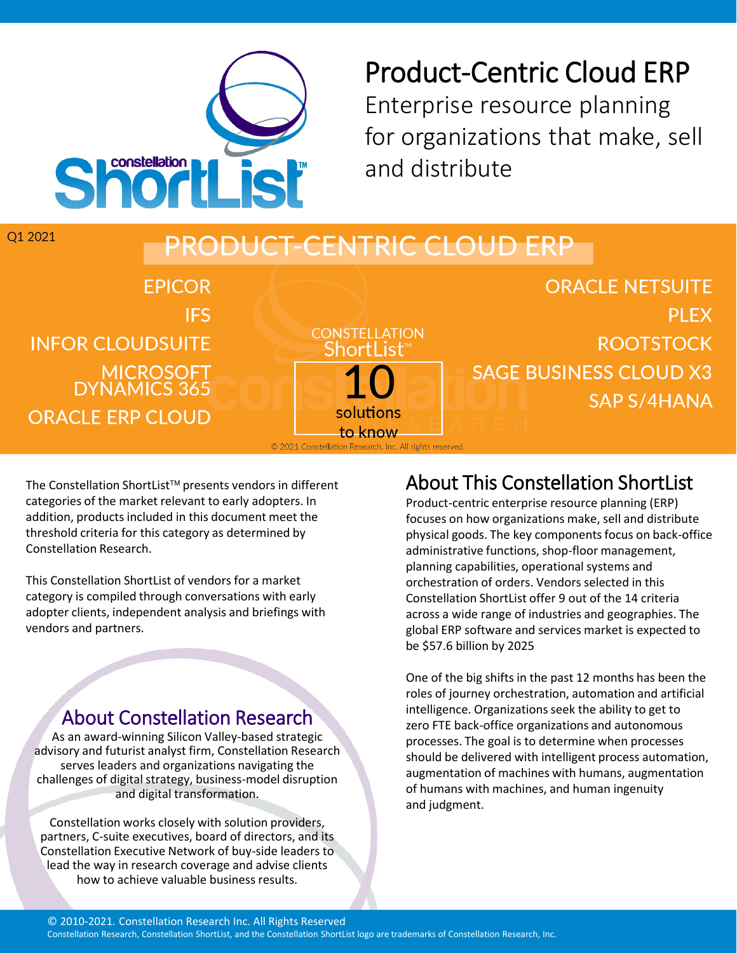

# Product-Centric Cloud ERP Enterprise resource planning

for organizations that make, sell and distribute

#### Q1 2021 DUCT-CENTRIC CLOUD ERP **ORACLE NETSUITE FPICOR IFS PIFX CONSTELLATION ROOTSTOCK INFOR CLOUDSUITE** Shortl MICROSOFT<br>DYNAMICS 365 **SAGE BUSINESS CLOUD X3 SAP S/4HANA** solutions **ORACLE ERP CLOUD** to know © 2021 Constellation Research, Inc. All rights reserved.

The Constellation ShortList<sup>™</sup> presents vendors in different categories of the market relevant to early adopters. In addition, products included in this document meet the threshold criteria for this category as determined by Constellation Research.

This Constellation ShortList of vendors for a market category is compiled through conversations with early adopter clients, independent analysis and briefings with vendors and partners.

## About Constellation Research

As an award-winning Silicon Valley-based strategic advisory and futurist analyst firm, Constellation Research serves leaders and organizations navigating the challenges of digital strategy, business-model disruption and digital transformation.

Constellation works closely with solution providers, partners, C-suite executives, board of directors, and its Constellation Executive Network of buy-side leaders to lead the way in research coverage and advise clients how to achieve valuable business results.

## About This Constellation ShortList

Product-centric enterprise resource planning (ERP) focuses on how organizations make, sell and distribute physical goods. The key components focus on back-office administrative functions, shop-floor management, planning capabilities, operational systems and orchestration of orders. Vendors selected in this Constellation ShortList offer 9 out of the 14 criteria across a wide range of industries and geographies. The global ERP software and services market is expected to be \$57.6 billion by 2025

One of the big shifts in the past 12 months has been the roles of journey orchestration, automation and artificial intelligence. Organizations seek the ability to get to zero FTE back-office organizations and autonomous processes. The goal is to determine when processes should be delivered with intelligent process automation, augmentation of machines with humans, augmentation of humans with machines, and human ingenuity and judgment.